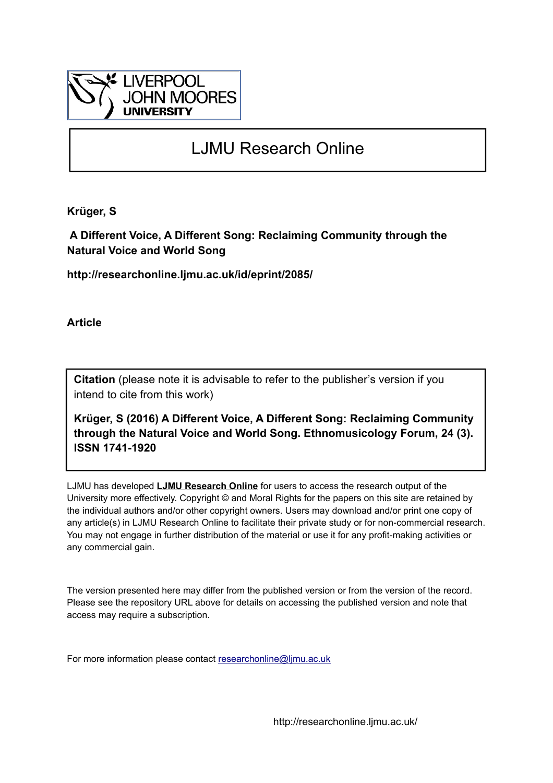

## LJMU Research Online

**Krüger, S**

 **A Different Voice, A Different Song: Reclaiming Community through the Natural Voice and World Song**

**http://researchonline.ljmu.ac.uk/id/eprint/2085/**

**Article**

**Citation** (please note it is advisable to refer to the publisher's version if you intend to cite from this work)

**Krüger, S (2016) A Different Voice, A Different Song: Reclaiming Community through the Natural Voice and World Song. Ethnomusicology Forum, 24 (3). ISSN 1741-1920** 

LJMU has developed **[LJMU Research Online](http://researchonline.ljmu.ac.uk/)** for users to access the research output of the University more effectively. Copyright © and Moral Rights for the papers on this site are retained by the individual authors and/or other copyright owners. Users may download and/or print one copy of any article(s) in LJMU Research Online to facilitate their private study or for non-commercial research. You may not engage in further distribution of the material or use it for any profit-making activities or any commercial gain.

The version presented here may differ from the published version or from the version of the record. Please see the repository URL above for details on accessing the published version and note that access may require a subscription.

For more information please contact [researchonline@ljmu.ac.uk](mailto:researchonline@ljmu.ac.uk)

http://researchonline.ljmu.ac.uk/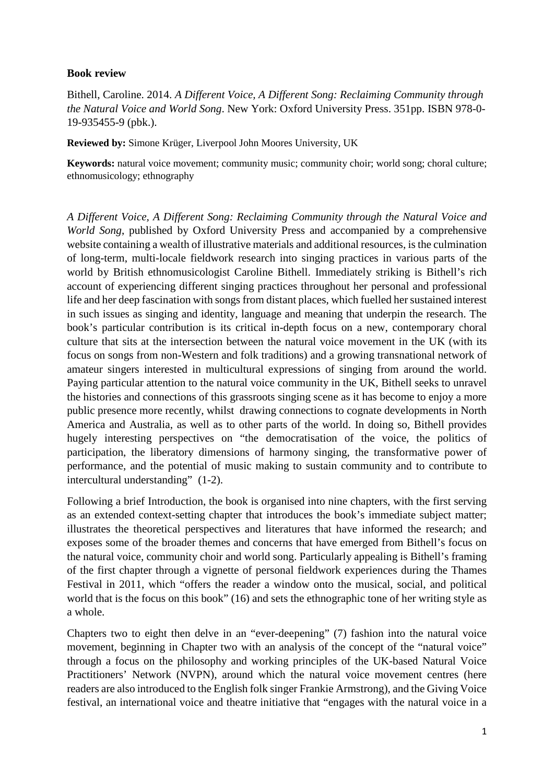## **Book review**

Bithell, Caroline. 2014. *A Different Voice, A Different Song: Reclaiming Community through the Natural Voice and World Song*. New York: Oxford University Press. 351pp. ISBN 978-0- 19-935455-9 (pbk.).

**Reviewed by:** Simone Krüger, Liverpool John Moores University, UK

**Keywords:** natural voice movement; community music; community choir; world song; choral culture; ethnomusicology; ethnography

*A Different Voice, A Different Song: Reclaiming Community through the Natural Voice and World Song*, published by Oxford University Press and accompanied by a comprehensive website containing a wealth of illustrative materials and additional resources, is the culmination of long-term, multi-locale fieldwork research into singing practices in various parts of the world by British ethnomusicologist Caroline Bithell. Immediately striking is Bithell's rich account of experiencing different singing practices throughout her personal and professional life and her deep fascination with songs from distant places, which fuelled her sustained interest in such issues as singing and identity, language and meaning that underpin the research. The book's particular contribution is its critical in-depth focus on a new, contemporary choral culture that sits at the intersection between the natural voice movement in the UK (with its focus on songs from non-Western and folk traditions) and a growing transnational network of amateur singers interested in multicultural expressions of singing from around the world. Paying particular attention to the natural voice community in the UK, Bithell seeks to unravel the histories and connections of this grassroots singing scene as it has become to enjoy a more public presence more recently, whilst drawing connections to cognate developments in North America and Australia, as well as to other parts of the world. In doing so, Bithell provides hugely interesting perspectives on "the democratisation of the voice, the politics of participation, the liberatory dimensions of harmony singing, the transformative power of performance, and the potential of music making to sustain community and to contribute to intercultural understanding" (1-2).

Following a brief Introduction, the book is organised into nine chapters, with the first serving as an extended context-setting chapter that introduces the book's immediate subject matter; illustrates the theoretical perspectives and literatures that have informed the research; and exposes some of the broader themes and concerns that have emerged from Bithell's focus on the natural voice, community choir and world song. Particularly appealing is Bithell's framing of the first chapter through a vignette of personal fieldwork experiences during the Thames Festival in 2011, which "offers the reader a window onto the musical, social, and political world that is the focus on this book" (16) and sets the ethnographic tone of her writing style as a whole.

Chapters two to eight then delve in an "ever-deepening" (7) fashion into the natural voice movement, beginning in Chapter two with an analysis of the concept of the "natural voice" through a focus on the philosophy and working principles of the UK-based Natural Voice Practitioners' Network (NVPN), around which the natural voice movement centres (here readers are also introduced to the English folk singer Frankie Armstrong), and the Giving Voice festival, an international voice and theatre initiative that "engages with the natural voice in a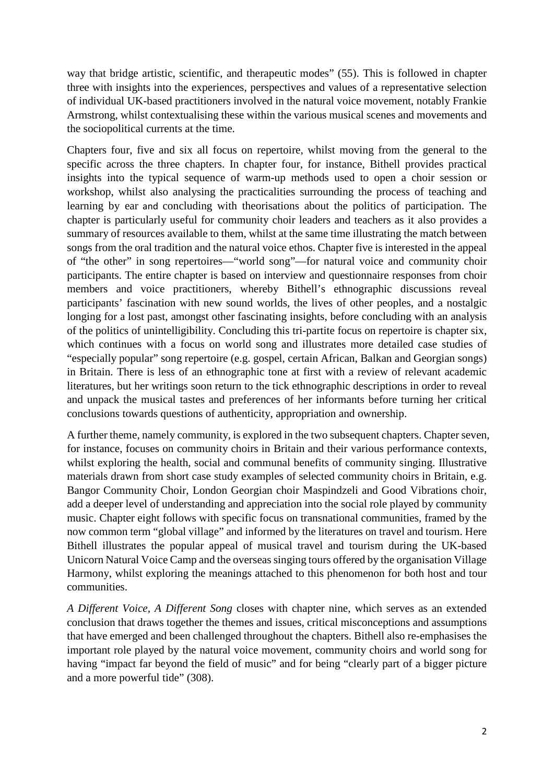way that bridge artistic, scientific, and therapeutic modes" (55). This is followed in chapter three with insights into the experiences, perspectives and values of a representative selection of individual UK-based practitioners involved in the natural voice movement, notably Frankie Armstrong, whilst contextualising these within the various musical scenes and movements and the sociopolitical currents at the time.

Chapters four, five and six all focus on repertoire, whilst moving from the general to the specific across the three chapters. In chapter four, for instance, Bithell provides practical insights into the typical sequence of warm-up methods used to open a choir session or workshop, whilst also analysing the practicalities surrounding the process of teaching and learning by ear and concluding with theorisations about the politics of participation. The chapter is particularly useful for community choir leaders and teachers as it also provides a summary of resources available to them, whilst at the same time illustrating the match between songs from the oral tradition and the natural voice ethos. Chapter five is interested in the appeal of "the other" in song repertoires—"world song"—for natural voice and community choir participants. The entire chapter is based on interview and questionnaire responses from choir members and voice practitioners, whereby Bithell's ethnographic discussions reveal participants' fascination with new sound worlds, the lives of other peoples, and a nostalgic longing for a lost past, amongst other fascinating insights, before concluding with an analysis of the politics of unintelligibility. Concluding this tri-partite focus on repertoire is chapter six, which continues with a focus on world song and illustrates more detailed case studies of "especially popular" song repertoire (e.g. gospel, certain African, Balkan and Georgian songs) in Britain. There is less of an ethnographic tone at first with a review of relevant academic literatures, but her writings soon return to the tick ethnographic descriptions in order to reveal and unpack the musical tastes and preferences of her informants before turning her critical conclusions towards questions of authenticity, appropriation and ownership.

A further theme, namely community, is explored in the two subsequent chapters. Chapter seven, for instance, focuses on community choirs in Britain and their various performance contexts, whilst exploring the health, social and communal benefits of community singing. Illustrative materials drawn from short case study examples of selected community choirs in Britain, e.g. Bangor Community Choir, London Georgian choir Maspindzeli and Good Vibrations choir, add a deeper level of understanding and appreciation into the social role played by community music. Chapter eight follows with specific focus on transnational communities, framed by the now common term "global village" and informed by the literatures on travel and tourism. Here Bithell illustrates the popular appeal of musical travel and tourism during the UK-based Unicorn Natural Voice Camp and the overseas singing tours offered by the organisation Village Harmony, whilst exploring the meanings attached to this phenomenon for both host and tour communities.

*A Different Voice, A Different Song* closes with chapter nine, which serves as an extended conclusion that draws together the themes and issues, critical misconceptions and assumptions that have emerged and been challenged throughout the chapters. Bithell also re-emphasises the important role played by the natural voice movement, community choirs and world song for having "impact far beyond the field of music" and for being "clearly part of a bigger picture and a more powerful tide" (308).